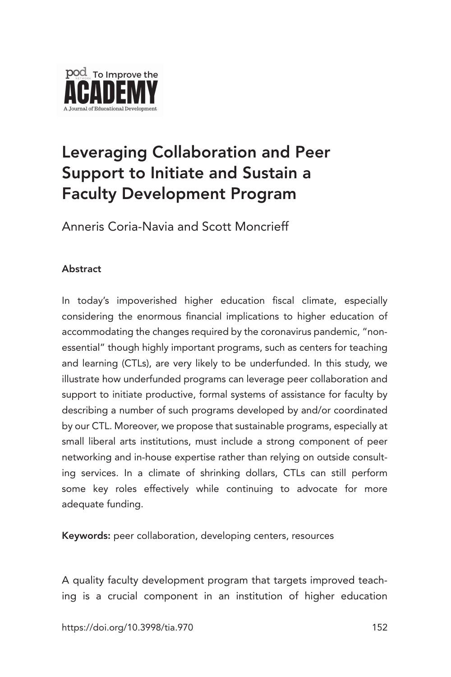

# Leveraging Collaboration and Peer Support to Initiate and Sustain a Faculty Development Program

Anneris Coria-Navia and Scott Moncrieff

#### **Abstract**

In today's impoverished higher education fiscal climate, especially considering the enormous financial implications to higher education of accommodating the changes required by the coronavirus pandemic, "nonessential" though highly important programs, such as centers for teaching and learning (CTLs), are very likely to be underfunded. In this study, we illustrate how underfunded programs can leverage peer collaboration and support to initiate productive, formal systems of assistance for faculty by describing a number of such programs developed by and/or coordinated by our CTL. Moreover, we propose that sustainable programs, especially at small liberal arts institutions, must include a strong component of peer networking and in-house expertise rather than relying on outside consulting services. In a climate of shrinking dollars, CTLs can still perform some key roles effectively while continuing to advocate for more adequate funding.

Keywords: peer collaboration, developing centers, resources

A quality faculty development program that targets improved teaching is a crucial component in an institution of higher education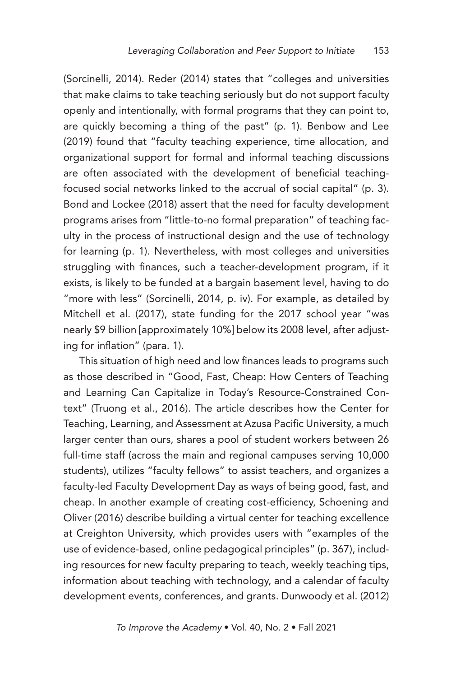(Sorcinelli, 2014). Reder (2014) states that "colleges and universities that make claims to take teaching seriously but do not support faculty openly and intentionally, with formal programs that they can point to, are quickly becoming a thing of the past" (p. 1). Benbow and Lee (2019) found that "faculty teaching experience, time allocation, and organizational support for formal and informal teaching discussions are often associated with the development of beneficial teachingfocused social networks linked to the accrual of social capital" (p. 3). Bond and Lockee (2018) assert that the need for faculty development programs arises from "little-to-no formal preparation" of teaching faculty in the process of instructional design and the use of technology for learning (p. 1). Nevertheless, with most colleges and universities struggling with finances, such a teacher-development program, if it exists, is likely to be funded at a bargain basement level, having to do "more with less" (Sorcinelli, 2014, p. iv). For example, as detailed by Mitchell et al. (2017), state funding for the 2017 school year "was nearly \$9 billion [approximately 10%] below its 2008 level, after adjusting for inflation" (para. 1).

This situation of high need and low finances leads to programs such as those described in "Good, Fast, Cheap: How Centers of Teaching and Learning Can Capitalize in Today's Resource-Constrained Context" (Truong et al., 2016). The article describes how the Center for Teaching, Learning, and Assessment at Azusa Pacific University, a much larger center than ours, shares a pool of student workers between 26 full-time staff (across the main and regional campuses serving 10,000 students), utilizes "faculty fellows" to assist teachers, and organizes a faculty-led Faculty Development Day as ways of being good, fast, and cheap. In another example of creating cost-efficiency, Schoening and Oliver (2016) describe building a virtual center for teaching excellence at Creighton University, which provides users with "examples of the use of evidence-based, online pedagogical principles" (p. 367), including resources for new faculty preparing to teach, weekly teaching tips, information about teaching with technology, and a calendar of faculty development events, conferences, and grants. Dunwoody et al. (2012)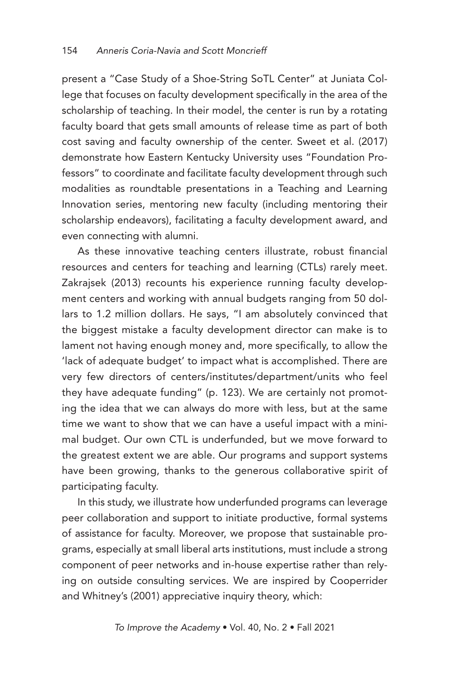present a "Case Study of a Shoe-String SoTL Center" at Juniata College that focuses on faculty development specifically in the area of the scholarship of teaching. In their model, the center is run by a rotating faculty board that gets small amounts of release time as part of both cost saving and faculty ownership of the center. Sweet et al. (2017) demonstrate how Eastern Kentucky University uses "Foundation Professors" to coordinate and facilitate faculty development through such modalities as roundtable presentations in a Teaching and Learning Innovation series, mentoring new faculty (including mentoring their scholarship endeavors), facilitating a faculty development award, and even connecting with alumni.

As these innovative teaching centers illustrate, robust financial resources and centers for teaching and learning (CTLs) rarely meet. Zakrajsek (2013) recounts his experience running faculty development centers and working with annual budgets ranging from 50 dollars to 1.2 million dollars. He says, "I am absolutely convinced that the biggest mistake a faculty development director can make is to lament not having enough money and, more specifically, to allow the 'lack of adequate budget' to impact what is accomplished. There are very few directors of centers/institutes/department/units who feel they have adequate funding" (p. 123). We are certainly not promoting the idea that we can always do more with less, but at the same time we want to show that we can have a useful impact with a minimal budget. Our own CTL is underfunded, but we move forward to the greatest extent we are able. Our programs and support systems have been growing, thanks to the generous collaborative spirit of participating faculty.

In this study, we illustrate how underfunded programs can leverage peer collaboration and support to initiate productive, formal systems of assistance for faculty. Moreover, we propose that sustainable programs, especially at small liberal arts institutions, must include a strong component of peer networks and in-house expertise rather than relying on outside consulting services. We are inspired by Cooperrider and Whitney's (2001) appreciative inquiry theory, which: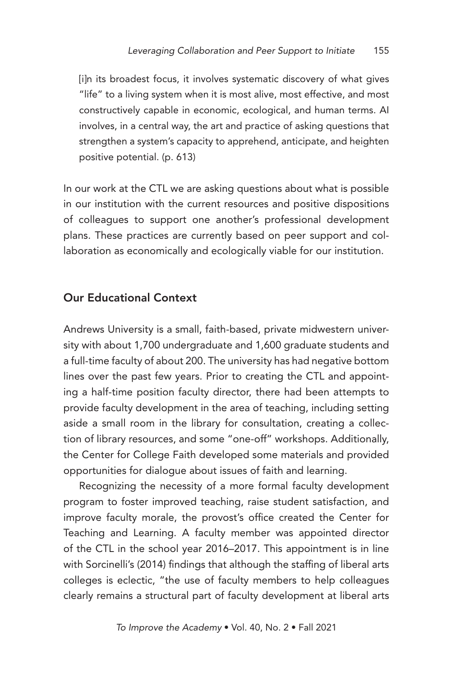[i]n its broadest focus, it involves systematic discovery of what gives "life" to a living system when it is most alive, most effective, and most constructively capable in economic, ecological, and human terms. AI involves, in a central way, the art and practice of asking questions that strengthen a system's capacity to apprehend, anticipate, and heighten positive potential. (p. 613)

In our work at the CTL we are asking questions about what is possible in our institution with the current resources and positive dispositions of colleagues to support one another's professional development plans. These practices are currently based on peer support and collaboration as economically and ecologically viable for our institution.

#### Our Educational Context

Andrews University is a small, faith-based, private midwestern university with about 1,700 undergraduate and 1,600 graduate students and a full-time faculty of about 200. The university has had negative bottom lines over the past few years. Prior to creating the CTL and appointing a half-time position faculty director, there had been attempts to provide faculty development in the area of teaching, including setting aside a small room in the library for consultation, creating a collection of library resources, and some "one-off" workshops. Additionally, the Center for College Faith developed some materials and provided opportunities for dialogue about issues of faith and learning.

Recognizing the necessity of a more formal faculty development program to foster improved teaching, raise student satisfaction, and improve faculty morale, the provost's office created the Center for Teaching and Learning. A faculty member was appointed director of the CTL in the school year 2016–2017. This appointment is in line with Sorcinelli's (2014) findings that although the staffing of liberal arts colleges is eclectic, "the use of faculty members to help colleagues clearly remains a structural part of faculty development at liberal arts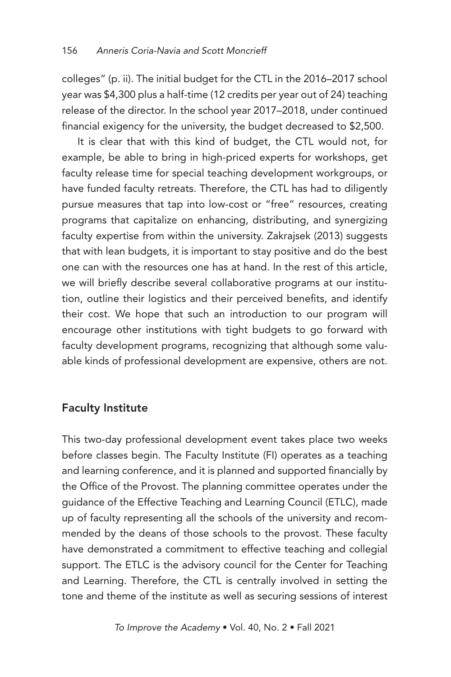colleges" (p. ii). The initial budget for the CTL in the 2016–2017 school year was \$4,300 plus a half-time (12 credits per year out of 24) teaching release of the director. In the school year 2017–2018, under continued financial exigency for the university, the budget decreased to \$2,500.

It is clear that with this kind of budget, the CTL would not, for example, be able to bring in high-priced experts for workshops, get faculty release time for special teaching development workgroups, or have funded faculty retreats. Therefore, the CTL has had to diligently pursue measures that tap into low-cost or "free" resources, creating programs that capitalize on enhancing, distributing, and synergizing faculty expertise from within the university. Zakrajsek (2013) suggests that with lean budgets, it is important to stay positive and do the best one can with the resources one has at hand. In the rest of this article, we will briefly describe several collaborative programs at our institution, outline their logistics and their perceived benefits, and identify their cost. We hope that such an introduction to our program will encourage other institutions with tight budgets to go forward with faculty development programs, recognizing that although some valuable kinds of professional development are expensive, others are not.

## Faculty Institute

This two-day professional development event takes place two weeks before classes begin. The Faculty Institute (FI) operates as a teaching and learning conference, and it is planned and supported financially by the Office of the Provost. The planning committee operates under the guidance of the Effective Teaching and Learning Council (ETLC), made up of faculty representing all the schools of the university and recommended by the deans of those schools to the provost. These faculty have demonstrated a commitment to effective teaching and collegial support. The ETLC is the advisory council for the Center for Teaching and Learning. Therefore, the CTL is centrally involved in setting the tone and theme of the institute as well as securing sessions of interest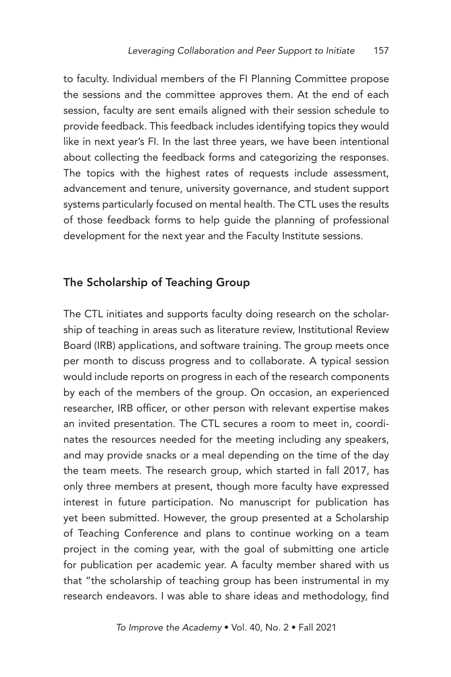to faculty. Individual members of the FI Planning Committee propose the sessions and the committee approves them. At the end of each session, faculty are sent emails aligned with their session schedule to provide feedback. This feedback includes identifying topics they would like in next year's FI. In the last three years, we have been intentional about collecting the feedback forms and categorizing the responses. The topics with the highest rates of requests include assessment, advancement and tenure, university governance, and student support systems particularly focused on mental health. The CTL uses the results of those feedback forms to help guide the planning of professional development for the next year and the Faculty Institute sessions.

#### The Scholarship of Teaching Group

The CTL initiates and supports faculty doing research on the scholarship of teaching in areas such as literature review, Institutional Review Board (IRB) applications, and software training. The group meets once per month to discuss progress and to collaborate. A typical session would include reports on progress in each of the research components by each of the members of the group. On occasion, an experienced researcher, IRB officer, or other person with relevant expertise makes an invited presentation. The CTL secures a room to meet in, coordinates the resources needed for the meeting including any speakers, and may provide snacks or a meal depending on the time of the day the team meets. The research group, which started in fall 2017, has only three members at present, though more faculty have expressed interest in future participation. No manuscript for publication has yet been submitted. However, the group presented at a Scholarship of Teaching Conference and plans to continue working on a team project in the coming year, with the goal of submitting one article for publication per academic year. A faculty member shared with us that "the scholarship of teaching group has been instrumental in my research endeavors. I was able to share ideas and methodology, find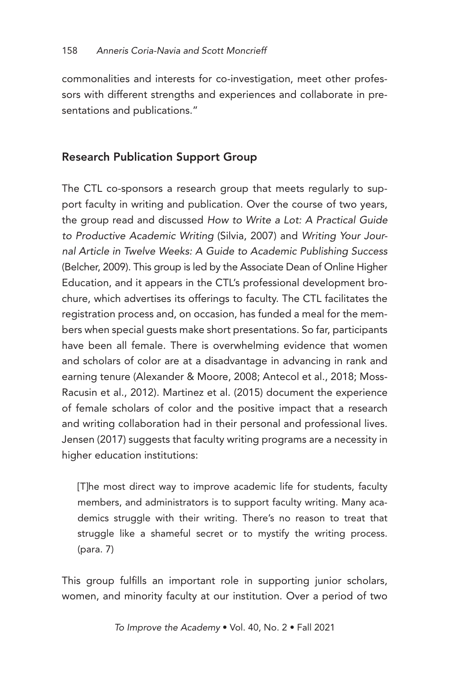commonalities and interests for co-investigation, meet other professors with different strengths and experiences and collaborate in presentations and publications."

## Research Publication Support Group

The CTL co-sponsors a research group that meets regularly to support faculty in writing and publication. Over the course of two years, the group read and discussed *How to Write a Lot: A Practical Guide to Productive Academic Writing* (Silvia, 2007) and *Writing Your Journal Article in Twelve Weeks: A Guide to Academic Publishing Success* (Belcher, 2009). This group is led by the Associate Dean of Online Higher Education, and it appears in the CTL's professional development brochure, which advertises its offerings to faculty. The CTL facilitates the registration process and, on occasion, has funded a meal for the members when special guests make short presentations. So far, participants have been all female. There is overwhelming evidence that women and scholars of color are at a disadvantage in advancing in rank and earning tenure (Alexander & Moore, 2008; Antecol et al., 2018; Moss-Racusin et al., 2012). Martinez et al. (2015) document the experience of female scholars of color and the positive impact that a research and writing collaboration had in their personal and professional lives. Jensen (2017) suggests that faculty writing programs are a necessity in higher education institutions:

[T]he most direct way to improve academic life for students, faculty members, and administrators is to support faculty writing. Many academics struggle with their writing. There's no reason to treat that struggle like a shameful secret or to mystify the writing process. (para. 7)

This group fulfills an important role in supporting junior scholars, women, and minority faculty at our institution. Over a period of two

*To Improve the Academy* • Vol. 40, No. 2 • Fall 2021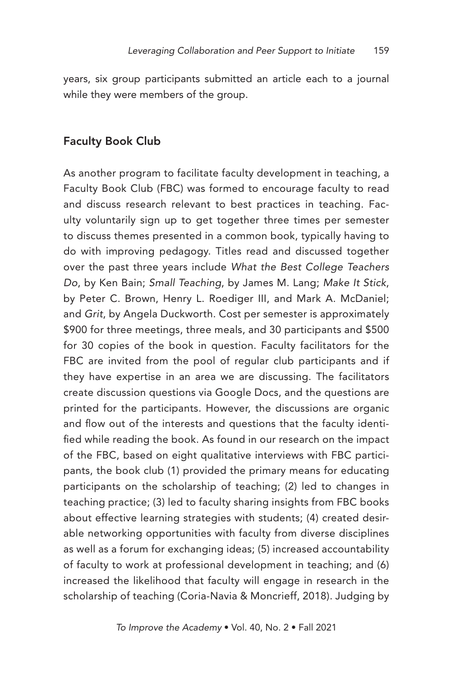years, six group participants submitted an article each to a journal while they were members of the group.

#### Faculty Book Club

As another program to facilitate faculty development in teaching, a Faculty Book Club (FBC) was formed to encourage faculty to read and discuss research relevant to best practices in teaching. Faculty voluntarily sign up to get together three times per semester to discuss themes presented in a common book, typically having to do with improving pedagogy. Titles read and discussed together over the past three years include *What the Best College Teachers Do*, by Ken Bain; *Small Teaching*, by James M. Lang; *Make It Stick*, by Peter C. Brown, Henry L. Roediger III, and Mark A. McDaniel; and *Grit*, by Angela Duckworth. Cost per semester is approximately \$900 for three meetings, three meals, and 30 participants and \$500 for 30 copies of the book in question. Faculty facilitators for the FBC are invited from the pool of regular club participants and if they have expertise in an area we are discussing. The facilitators create discussion questions via Google Docs, and the questions are printed for the participants. However, the discussions are organic and flow out of the interests and questions that the faculty identified while reading the book. As found in our research on the impact of the FBC, based on eight qualitative interviews with FBC participants, the book club (1) provided the primary means for educating participants on the scholarship of teaching; (2) led to changes in teaching practice; (3) led to faculty sharing insights from FBC books about effective learning strategies with students; (4) created desirable networking opportunities with faculty from diverse disciplines as well as a forum for exchanging ideas; (5) increased accountability of faculty to work at professional development in teaching; and (6) increased the likelihood that faculty will engage in research in the scholarship of teaching (Coria-Navia & Moncrieff, 2018). Judging by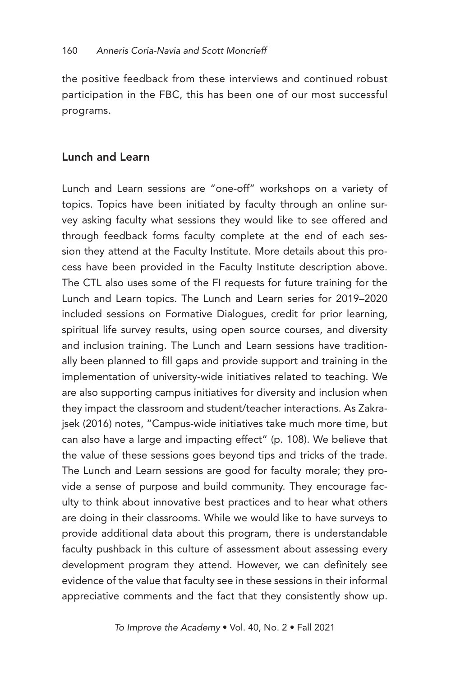the positive feedback from these interviews and continued robust participation in the FBC, this has been one of our most successful programs.

## Lunch and Learn

Lunch and Learn sessions are "one-off" workshops on a variety of topics. Topics have been initiated by faculty through an online survey asking faculty what sessions they would like to see offered and through feedback forms faculty complete at the end of each session they attend at the Faculty Institute. More details about this process have been provided in the Faculty Institute description above. The CTL also uses some of the FI requests for future training for the Lunch and Learn topics. The Lunch and Learn series for 2019–2020 included sessions on Formative Dialogues, credit for prior learning, spiritual life survey results, using open source courses, and diversity and inclusion training. The Lunch and Learn sessions have traditionally been planned to fill gaps and provide support and training in the implementation of university-wide initiatives related to teaching. We are also supporting campus initiatives for diversity and inclusion when they impact the classroom and student/teacher interactions. As Zakrajsek (2016) notes, "Campus-wide initiatives take much more time, but can also have a large and impacting effect" (p. 108). We believe that the value of these sessions goes beyond tips and tricks of the trade. The Lunch and Learn sessions are good for faculty morale; they provide a sense of purpose and build community. They encourage faculty to think about innovative best practices and to hear what others are doing in their classrooms. While we would like to have surveys to provide additional data about this program, there is understandable faculty pushback in this culture of assessment about assessing every development program they attend. However, we can definitely see evidence of the value that faculty see in these sessions in their informal appreciative comments and the fact that they consistently show up.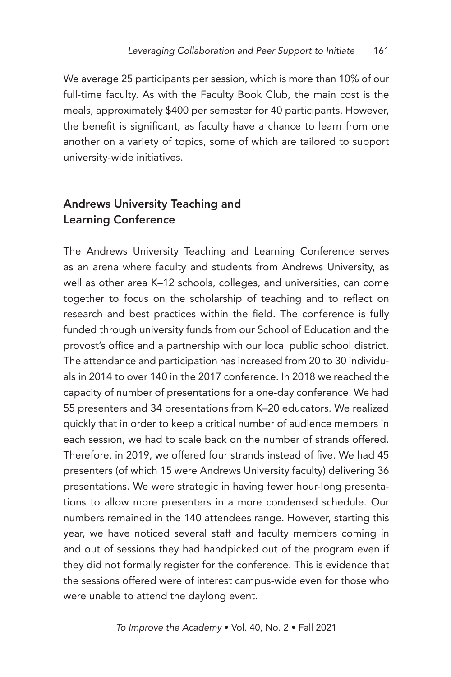We average 25 participants per session, which is more than 10% of our full-time faculty. As with the Faculty Book Club, the main cost is the meals, approximately \$400 per semester for 40 participants. However, the benefit is significant, as faculty have a chance to learn from one another on a variety of topics, some of which are tailored to support university-wide initiatives.

## Andrews University Teaching and Learning Conference

The Andrews University Teaching and Learning Conference serves as an arena where faculty and students from Andrews University, as well as other area K–12 schools, colleges, and universities, can come together to focus on the scholarship of teaching and to reflect on research and best practices within the field. The conference is fully funded through university funds from our School of Education and the provost's office and a partnership with our local public school district. The attendance and participation has increased from 20 to 30 individuals in 2014 to over 140 in the 2017 conference. In 2018 we reached the capacity of number of presentations for a one-day conference. We had 55 presenters and 34 presentations from K–20 educators. We realized quickly that in order to keep a critical number of audience members in each session, we had to scale back on the number of strands offered. Therefore, in 2019, we offered four strands instead of five. We had 45 presenters (of which 15 were Andrews University faculty) delivering 36 presentations. We were strategic in having fewer hour-long presentations to allow more presenters in a more condensed schedule. Our numbers remained in the 140 attendees range. However, starting this year, we have noticed several staff and faculty members coming in and out of sessions they had handpicked out of the program even if they did not formally register for the conference. This is evidence that the sessions offered were of interest campus-wide even for those who were unable to attend the daylong event.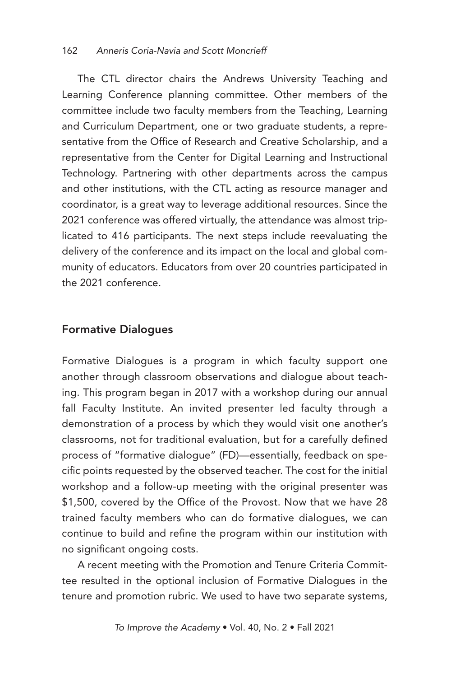The CTL director chairs the Andrews University Teaching and Learning Conference planning committee. Other members of the committee include two faculty members from the Teaching, Learning and Curriculum Department, one or two graduate students, a representative from the Office of Research and Creative Scholarship, and a representative from the Center for Digital Learning and Instructional Technology. Partnering with other departments across the campus and other institutions, with the CTL acting as resource manager and coordinator, is a great way to leverage additional resources. Since the 2021 conference was offered virtually, the attendance was almost triplicated to 416 participants. The next steps include reevaluating the delivery of the conference and its impact on the local and global community of educators. Educators from over 20 countries participated in the 2021 conference.

#### Formative Dialogues

Formative Dialogues is a program in which faculty support one another through classroom observations and dialogue about teaching. This program began in 2017 with a workshop during our annual fall Faculty Institute. An invited presenter led faculty through a demonstration of a process by which they would visit one another's classrooms, not for traditional evaluation, but for a carefully defined process of "formative dialogue" (FD)—essentially, feedback on specific points requested by the observed teacher. The cost for the initial workshop and a follow-up meeting with the original presenter was \$1,500, covered by the Office of the Provost. Now that we have 28 trained faculty members who can do formative dialogues, we can continue to build and refine the program within our institution with no significant ongoing costs.

A recent meeting with the Promotion and Tenure Criteria Committee resulted in the optional inclusion of Formative Dialogues in the tenure and promotion rubric. We used to have two separate systems,

*To Improve the Academy* • Vol. 40, No. 2 • Fall 2021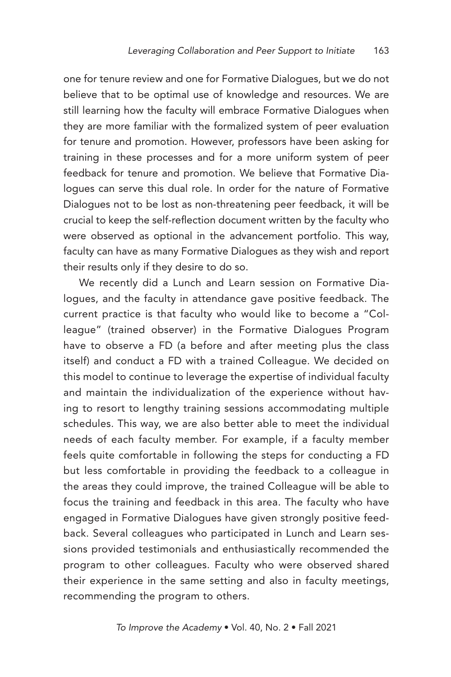one for tenure review and one for Formative Dialogues, but we do not believe that to be optimal use of knowledge and resources. We are still learning how the faculty will embrace Formative Dialogues when they are more familiar with the formalized system of peer evaluation for tenure and promotion. However, professors have been asking for training in these processes and for a more uniform system of peer feedback for tenure and promotion. We believe that Formative Dialogues can serve this dual role. In order for the nature of Formative Dialogues not to be lost as non-threatening peer feedback, it will be crucial to keep the self-reflection document written by the faculty who were observed as optional in the advancement portfolio. This way, faculty can have as many Formative Dialogues as they wish and report their results only if they desire to do so.

We recently did a Lunch and Learn session on Formative Dialogues, and the faculty in attendance gave positive feedback. The current practice is that faculty who would like to become a "Colleague" (trained observer) in the Formative Dialogues Program have to observe a FD (a before and after meeting plus the class itself) and conduct a FD with a trained Colleague. We decided on this model to continue to leverage the expertise of individual faculty and maintain the individualization of the experience without having to resort to lengthy training sessions accommodating multiple schedules. This way, we are also better able to meet the individual needs of each faculty member. For example, if a faculty member feels quite comfortable in following the steps for conducting a FD but less comfortable in providing the feedback to a colleague in the areas they could improve, the trained Colleague will be able to focus the training and feedback in this area. The faculty who have engaged in Formative Dialogues have given strongly positive feedback. Several colleagues who participated in Lunch and Learn sessions provided testimonials and enthusiastically recommended the program to other colleagues. Faculty who were observed shared their experience in the same setting and also in faculty meetings, recommending the program to others.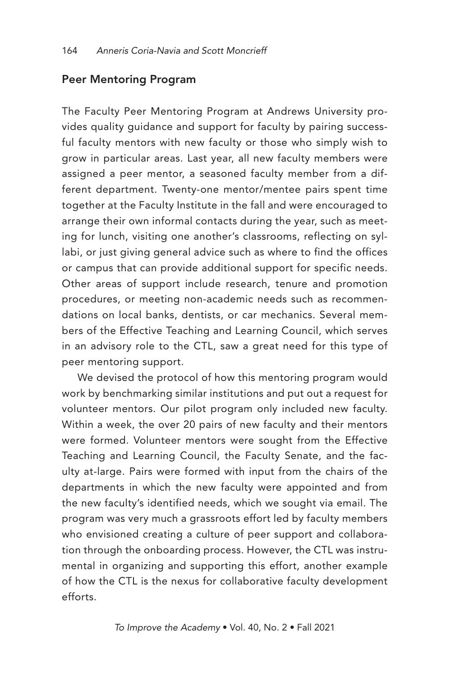#### Peer Mentoring Program

The Faculty Peer Mentoring Program at Andrews University provides quality guidance and support for faculty by pairing successful faculty mentors with new faculty or those who simply wish to grow in particular areas. Last year, all new faculty members were assigned a peer mentor, a seasoned faculty member from a different department. Twenty-one mentor/mentee pairs spent time together at the Faculty Institute in the fall and were encouraged to arrange their own informal contacts during the year, such as meeting for lunch, visiting one another's classrooms, reflecting on syllabi, or just giving general advice such as where to find the offices or campus that can provide additional support for specific needs. Other areas of support include research, tenure and promotion procedures, or meeting non-academic needs such as recommendations on local banks, dentists, or car mechanics. Several members of the Effective Teaching and Learning Council, which serves in an advisory role to the CTL, saw a great need for this type of peer mentoring support.

We devised the protocol of how this mentoring program would work by benchmarking similar institutions and put out a request for volunteer mentors. Our pilot program only included new faculty. Within a week, the over 20 pairs of new faculty and their mentors were formed. Volunteer mentors were sought from the Effective Teaching and Learning Council, the Faculty Senate, and the faculty at-large. Pairs were formed with input from the chairs of the departments in which the new faculty were appointed and from the new faculty's identified needs, which we sought via email. The program was very much a grassroots effort led by faculty members who envisioned creating a culture of peer support and collaboration through the onboarding process. However, the CTL was instrumental in organizing and supporting this effort, another example of how the CTL is the nexus for collaborative faculty development efforts.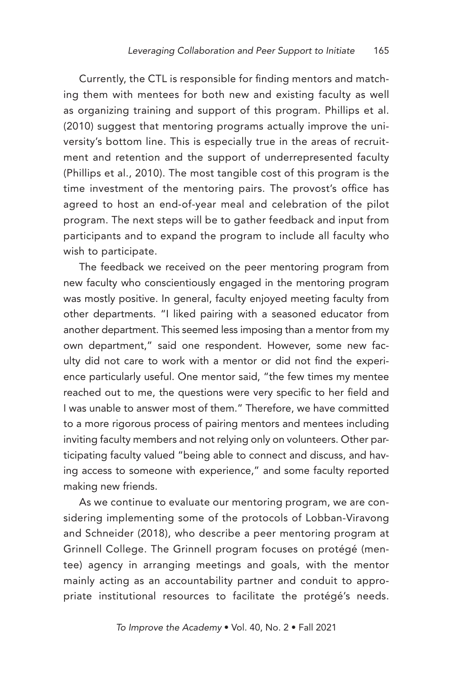Currently, the CTL is responsible for finding mentors and matching them with mentees for both new and existing faculty as well as organizing training and support of this program. Phillips et al. (2010) suggest that mentoring programs actually improve the university's bottom line. This is especially true in the areas of recruitment and retention and the support of underrepresented faculty (Phillips et al., 2010). The most tangible cost of this program is the time investment of the mentoring pairs. The provost's office has agreed to host an end-of-year meal and celebration of the pilot program. The next steps will be to gather feedback and input from participants and to expand the program to include all faculty who wish to participate.

The feedback we received on the peer mentoring program from new faculty who conscientiously engaged in the mentoring program was mostly positive. In general, faculty enjoyed meeting faculty from other departments. "I liked pairing with a seasoned educator from another department. This seemed less imposing than a mentor from my own department," said one respondent. However, some new faculty did not care to work with a mentor or did not find the experience particularly useful. One mentor said, "the few times my mentee reached out to me, the questions were very specific to her field and I was unable to answer most of them." Therefore, we have committed to a more rigorous process of pairing mentors and mentees including inviting faculty members and not relying only on volunteers. Other participating faculty valued "being able to connect and discuss, and having access to someone with experience," and some faculty reported making new friends.

As we continue to evaluate our mentoring program, we are considering implementing some of the protocols of Lobban-Viravong and Schneider (2018), who describe a peer mentoring program at Grinnell College. The Grinnell program focuses on protégé (mentee) agency in arranging meetings and goals, with the mentor mainly acting as an accountability partner and conduit to appropriate institutional resources to facilitate the protégé's needs.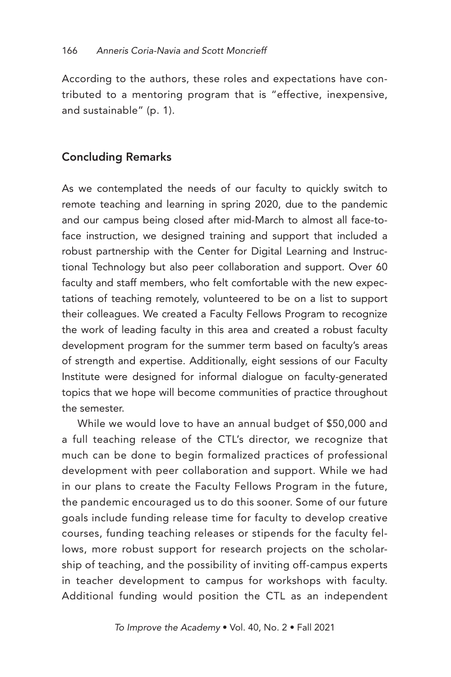According to the authors, these roles and expectations have contributed to a mentoring program that is "effective, inexpensive, and sustainable" (p. 1).

## Concluding Remarks

As we contemplated the needs of our faculty to quickly switch to remote teaching and learning in spring 2020, due to the pandemic and our campus being closed after mid-March to almost all face-toface instruction, we designed training and support that included a robust partnership with the Center for Digital Learning and Instructional Technology but also peer collaboration and support. Over 60 faculty and staff members, who felt comfortable with the new expectations of teaching remotely, volunteered to be on a list to support their colleagues. We created a Faculty Fellows Program to recognize the work of leading faculty in this area and created a robust faculty development program for the summer term based on faculty's areas of strength and expertise. Additionally, eight sessions of our Faculty Institute were designed for informal dialogue on faculty-generated topics that we hope will become communities of practice throughout the semester.

While we would love to have an annual budget of \$50,000 and a full teaching release of the CTL's director, we recognize that much can be done to begin formalized practices of professional development with peer collaboration and support. While we had in our plans to create the Faculty Fellows Program in the future, the pandemic encouraged us to do this sooner. Some of our future goals include funding release time for faculty to develop creative courses, funding teaching releases or stipends for the faculty fellows, more robust support for research projects on the scholarship of teaching, and the possibility of inviting off-campus experts in teacher development to campus for workshops with faculty. Additional funding would position the CTL as an independent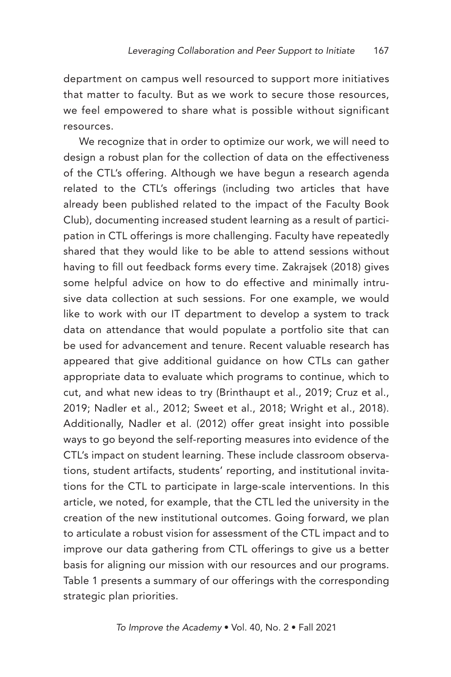department on campus well resourced to support more initiatives that matter to faculty. But as we work to secure those resources, we feel empowered to share what is possible without significant resources.

We recognize that in order to optimize our work, we will need to design a robust plan for the collection of data on the effectiveness of the CTL's offering. Although we have begun a research agenda related to the CTL's offerings (including two articles that have already been published related to the impact of the Faculty Book Club), documenting increased student learning as a result of participation in CTL offerings is more challenging. Faculty have repeatedly shared that they would like to be able to attend sessions without having to fill out feedback forms every time. Zakrajsek (2018) gives some helpful advice on how to do effective and minimally intrusive data collection at such sessions. For one example, we would like to work with our IT department to develop a system to track data on attendance that would populate a portfolio site that can be used for advancement and tenure. Recent valuable research has appeared that give additional guidance on how CTLs can gather appropriate data to evaluate which programs to continue, which to cut, and what new ideas to try (Brinthaupt et al., 2019; Cruz et al., 2019; Nadler et al., 2012; Sweet et al., 2018; Wright et al., 2018). Additionally, Nadler et al. (2012) offer great insight into possible ways to go beyond the self-reporting measures into evidence of the CTL's impact on student learning. These include classroom observations, student artifacts, students' reporting, and institutional invitations for the CTL to participate in large-scale interventions. In this article, we noted, for example, that the CTL led the university in the creation of the new institutional outcomes. Going forward, we plan to articulate a robust vision for assessment of the CTL impact and to improve our data gathering from CTL offerings to give us a better basis for aligning our mission with our resources and our programs. Table 1 presents a summary of our offerings with the corresponding strategic plan priorities.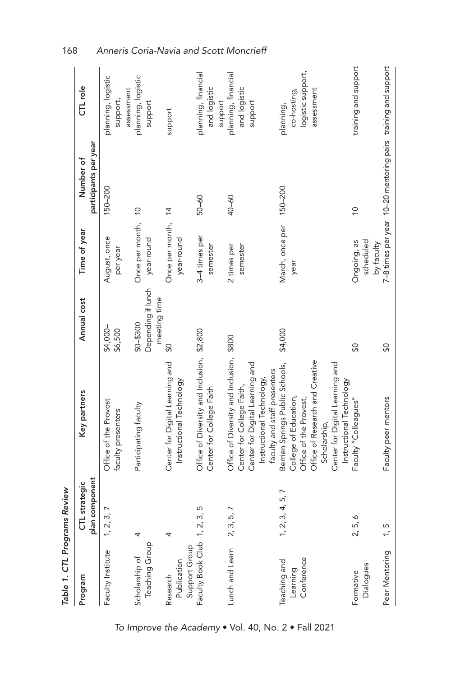| Table 1. CTL Programs Review             |                                 |                                                                                                                                                                                                      |                                                   |                                        |                                                               |                                                             |
|------------------------------------------|---------------------------------|------------------------------------------------------------------------------------------------------------------------------------------------------------------------------------------------------|---------------------------------------------------|----------------------------------------|---------------------------------------------------------------|-------------------------------------------------------------|
| Program                                  | plan component<br>CTL strategic | Key partners                                                                                                                                                                                         | Annual cost                                       | Time of year                           | participants per year<br>Number of                            | CTL role                                                    |
| Faculty Institute                        | 1, 2, 3, 7                      | Office of the Provost<br>faculty presenters                                                                                                                                                          | \$4,000-<br>\$6,500                               | August, once<br>per year               | 150-200                                                       | planning, logistic<br>assessment<br>support,                |
| Teaching Group<br>Scholarship of         | 4                               | Participating faculty                                                                                                                                                                                | Depending if lunch<br>meeting time<br>$$0 - $300$ | Once per month,<br>year-round          | $\frac{1}{2}$                                                 | planning, logistic<br>support                               |
| Support Group<br>Publication<br>Research | 4                               | Center for Digital Learning and<br>Instructional Technology                                                                                                                                          | SO                                                | Once per month, 14<br>year-round       |                                                               | support                                                     |
| Faculty Book Club 1, 2, 3,               | ഥ                               | Office of Diversity and Inclusion, \$2,800<br>Center for College Faith                                                                                                                               |                                                   | 3-4 times per<br>semester              | 50-60                                                         | planning, financial<br>and logistic<br>support              |
| Lunch and Learn 2, 3, 5, 7               |                                 | Office of Diversity and Inclusion, \$800<br>Center for Digital Learning and<br>faculty and staff presenters<br>Instructional Technology,<br>Center for College Faith,                                |                                                   | 2 times per<br>semester                | 40-60                                                         | planning, financial<br>and logistic<br>support              |
| Conference<br>Teaching and<br>Learning   | 1, 2, 3, 4, 5, 7                | Office of Research and Creative<br>Center for Digital Learning and<br>Berrien Springs Public Schools,<br>Instructional Technology<br>College of Education,<br>Office of the Provost,<br>Scholarship, | \$4,000                                           | March, once per 150-200<br>year        |                                                               | logistic support,<br>assessment<br>co-hosting,<br>planning, |
| Dialogues<br>Formative                   | 2, 5, 6                         | Faculty "Colleagues'                                                                                                                                                                                 | SO                                                | scheduled<br>Ongoing, as<br>by faculty | $\overline{0}$                                                | training and support                                        |
| Peer Mentoring                           | 1, 5                            | Faculty peer mentors                                                                                                                                                                                 | SO                                                |                                        | 7-8 times per year 10-20 mentoring pairs training and support |                                                             |

168 *Anneris Coria-Navia and Scott Moncrieff*

*To Improve the Academy* • Vol. 40, No. 2 • Fall 2021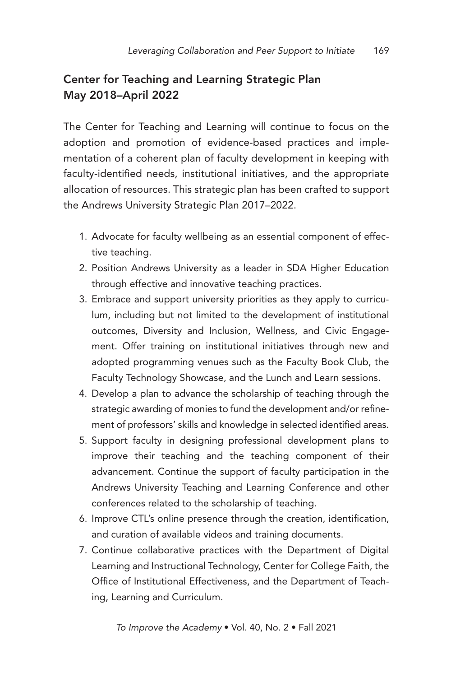# Center for Teaching and Learning Strategic Plan May 2018–April 2022

The Center for Teaching and Learning will continue to focus on the adoption and promotion of evidence-based practices and implementation of a coherent plan of faculty development in keeping with faculty-identified needs, institutional initiatives, and the appropriate allocation of resources. This strategic plan has been crafted to support the Andrews University Strategic Plan 2017–2022.

- 1. Advocate for faculty wellbeing as an essential component of effective teaching.
- 2. Position Andrews University as a leader in SDA Higher Education through effective and innovative teaching practices.
- 3. Embrace and support university priorities as they apply to curriculum, including but not limited to the development of institutional outcomes, Diversity and Inclusion, Wellness, and Civic Engagement. Offer training on institutional initiatives through new and adopted programming venues such as the Faculty Book Club, the Faculty Technology Showcase, and the Lunch and Learn sessions.
- 4. Develop a plan to advance the scholarship of teaching through the strategic awarding of monies to fund the development and/or refinement of professors' skills and knowledge in selected identified areas.
- 5. Support faculty in designing professional development plans to improve their teaching and the teaching component of their advancement. Continue the support of faculty participation in the Andrews University Teaching and Learning Conference and other conferences related to the scholarship of teaching.
- 6. Improve CTL's online presence through the creation, identification, and curation of available videos and training documents.
- 7. Continue collaborative practices with the Department of Digital Learning and Instructional Technology, Center for College Faith, the Office of Institutional Effectiveness, and the Department of Teaching, Learning and Curriculum.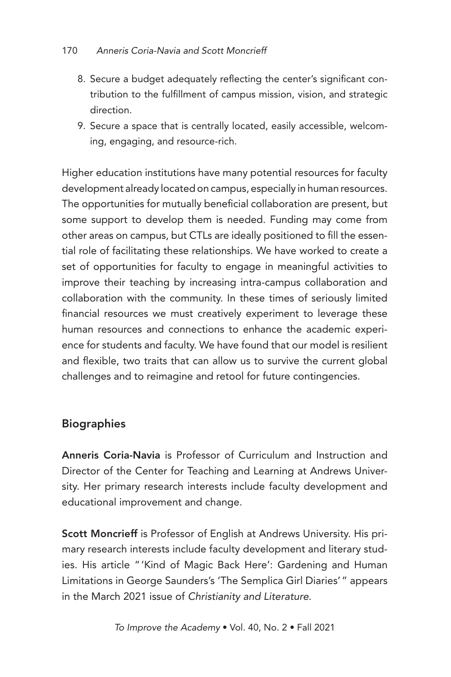- 8. Secure a budget adequately reflecting the center's significant contribution to the fulfillment of campus mission, vision, and strategic direction.
- 9. Secure a space that is centrally located, easily accessible, welcoming, engaging, and resource-rich.

Higher education institutions have many potential resources for faculty development already located on campus, especially in human resources. The opportunities for mutually beneficial collaboration are present, but some support to develop them is needed. Funding may come from other areas on campus, but CTLs are ideally positioned to fill the essential role of facilitating these relationships. We have worked to create a set of opportunities for faculty to engage in meaningful activities to improve their teaching by increasing intra-campus collaboration and collaboration with the community. In these times of seriously limited financial resources we must creatively experiment to leverage these human resources and connections to enhance the academic experience for students and faculty. We have found that our model is resilient and flexible, two traits that can allow us to survive the current global challenges and to reimagine and retool for future contingencies.

## **Biographies**

Anneris Coria-Navia is Professor of Curriculum and Instruction and Director of the Center for Teaching and Learning at Andrews University. Her primary research interests include faculty development and educational improvement and change.

Scott Moncrieff is Professor of English at Andrews University. His primary research interests include faculty development and literary studies. His article "'Kind of Magic Back Here': Gardening and Human Limitations in George Saunders's 'The Semplica Girl Diaries'" appears in the March 2021 issue of *Christianity and Literature*.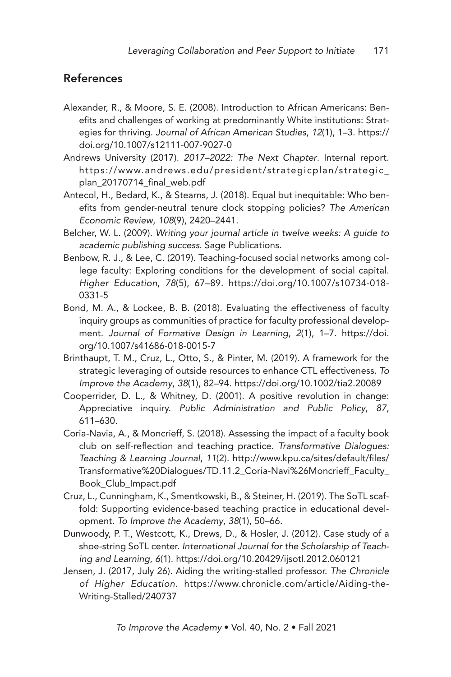## References

- Alexander, R., & Moore, S. E. (2008). Introduction to African Americans: Benefits and challenges of working at predominantly White institutions: Strategies for thriving. *Journal of African American Studies*, *12*(1), 1–3. https:// doi.org/10.1007/s12111-007-9027-0
- Andrews University (2017). *2017–2022: The Next Chapter*. Internal report. https://www.andrews.edu/president/strategicplan/strategic\_ plan\_20170714\_final\_web.pdf
- Antecol, H., Bedard, K., & Stearns, J. (2018). Equal but inequitable: Who benefits from gender-neutral tenure clock stopping policies? *The American Economic Review*, *108*(9), 2420–2441.
- Belcher, W. L. (2009). *Writing your journal article in twelve weeks: A guide to academic publishing success*. Sage Publications.
- Benbow, R. J., & Lee, C. (2019). Teaching-focused social networks among college faculty: Exploring conditions for the development of social capital. *Higher Education*, *78*(5), 67–89. https://doi.org/10.1007/s10734-018- 0331-5
- Bond, M. A., & Lockee, B. B. (2018). Evaluating the effectiveness of faculty inquiry groups as communities of practice for faculty professional development. *Journal of Formative Design in Learning*, *2*(1), 1–7. https://doi. org/10.1007/s41686-018-0015-7
- Brinthaupt, T. M., Cruz, L., Otto, S., & Pinter, M. (2019). A framework for the strategic leveraging of outside resources to enhance CTL effectiveness. *To Improve the Academy*, *38*(1), 82–94. https://doi.org/10.1002/tia2.20089
- Cooperrider, D. L., & Whitney, D. (2001). A positive revolution in change: Appreciative inquiry. *Public Administration and Public Policy*, *87*, 611–630.
- Coria-Navia, A., & Moncrieff, S. (2018). Assessing the impact of a faculty book club on self-reflection and teaching practice. *Transformative Dialogues: Teaching & Learning Journal*, *11*(2). http://www.kpu.ca/sites/default/files/ Transformative%20Dialogues/TD.11.2\_Coria-Navi%26Moncrieff\_Faculty\_ Book\_Club\_Impact.pdf
- Cruz, L., Cunningham, K., Smentkowski, B., & Steiner, H. (2019). The SoTL scaffold: Supporting evidence-based teaching practice in educational development. *To Improve the Academy*, *38*(1), 50–66.
- Dunwoody, P. T., Westcott, K., Drews, D., & Hosler, J. (2012). Case study of a shoe-string SoTL center. *International Journal for the Scholarship of Teaching and Learning*, *6*(1). https://doi.org/10.20429/ijsotl.2012.060121
- Jensen, J. (2017, July 26). Aiding the writing-stalled professor. *The Chronicle of Higher Education*. https://www.chronicle.com/article/Aiding-the-Writing-Stalled/240737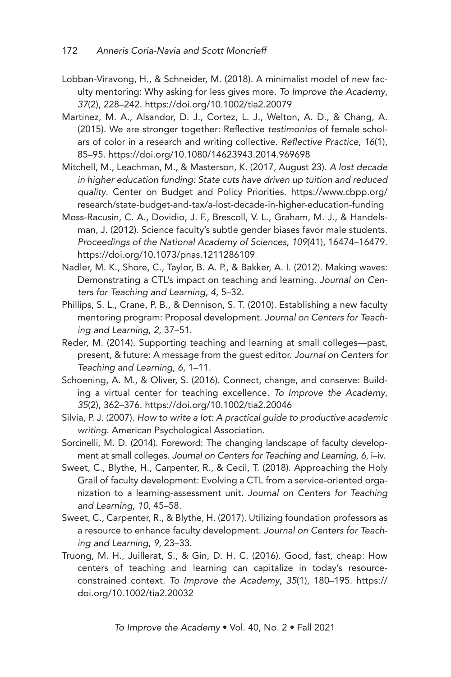- Lobban-Viravong, H., & Schneider, M. (2018). A minimalist model of new faculty mentoring: Why asking for less gives more. *To Improve the Academy*, *37*(2), 228–242. https://doi.org/10.1002/tia2.20079
- Martinez, M. A., Alsandor, D. J., Cortez, L. J., Welton, A. D., & Chang, A. (2015). We are stronger together: Reflective *testimonios* of female scholars of color in a research and writing collective. *Reflective Practice*, *16*(1), 85–95. https://doi.org/10.1080/14623943.2014.969698
- Mitchell, M., Leachman, M., & Masterson, K. (2017, August 23). *A lost decade in higher education funding: State cuts have driven up tuition and reduced quality*. Center on Budget and Policy Priorities. https://www.cbpp.org/ research/state-budget-and-tax/a-lost-decade-in-higher-education-funding
- Moss-Racusin, C. A., Dovidio, J. F., Brescoll, V. L., Graham, M. J., & Handelsman, J. (2012). Science faculty's subtle gender biases favor male students. *Proceedings of the National Academy of Sciences*, *109*(41), 16474–16479. https://doi.org/10.1073/pnas.1211286109
- Nadler, M. K., Shore, C., Taylor, B. A. P., & Bakker, A. I. (2012). Making waves: Demonstrating a CTL's impact on teaching and learning. *Journal on Centers for Teaching and Learning*, *4*, 5–32.
- Phillips, S. L., Crane, P. B., & Dennison, S. T. (2010). Establishing a new faculty mentoring program: Proposal development. *Journal on Centers for Teaching and Learning*, *2*, 37–51.
- Reder, M. (2014). Supporting teaching and learning at small colleges—past, present, & future: A message from the guest editor. *Journal on Centers for Teaching and Learning*, *6*, 1–11.
- Schoening, A. M., & Oliver, S. (2016). Connect, change, and conserve: Building a virtual center for teaching excellence. *To Improve the Academy*, *35*(2), 362–376. https://doi.org/10.1002/tia2.20046
- Silvia, P. J. (2007). *How to write a lot: A practical guide to productive academic writing*. American Psychological Association.
- Sorcinelli, M. D. (2014). Foreword: The changing landscape of faculty development at small colleges. *Journal on Centers for Teaching and Learning*, *6*, i–iv.
- Sweet, C., Blythe, H., Carpenter, R., & Cecil, T. (2018). Approaching the Holy Grail of faculty development: Evolving a CTL from a service-oriented organization to a learning-assessment unit. *Journal on Centers for Teaching and Learning*, *10*, 45–58.
- Sweet, C., Carpenter, R., & Blythe, H. (2017). Utilizing foundation professors as a resource to enhance faculty development. *Journal on Centers for Teaching and Learning*, *9*, 23–33.
- Truong, M. H., Juillerat, S., & Gin, D. H. C. (2016). Good, fast, cheap: How centers of teaching and learning can capitalize in today's resourceconstrained context. *To Improve the Academy*, *35*(1), 180–195. https:// doi.org/10.1002/tia2.20032